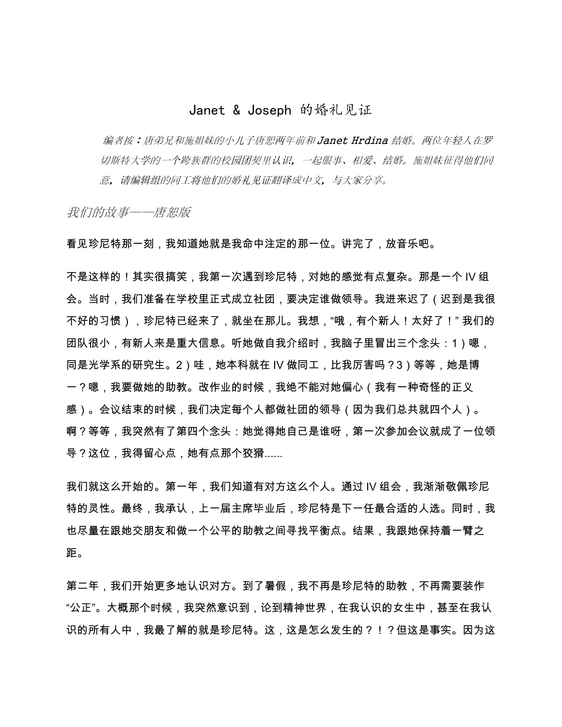## Janet & Joseph 的婚礼见证

编者按:唐弟兄和施姐妹的小儿子唐恕两年前和 Janet Hrdina 结婚。两位年轻人在罗 切斯特大学的一个跨族群的校园团契里认识,一起服事、相爱、结婚。施姐妹征得他们同 意,请编辑组的同工将他们的婚礼见证翻译成中文,与大家分享。

我们的故事——唐恕版

看见珍尼特那一刻,我知道她就是我命中注定的那一位。讲完了,放音乐吧。

不是这样的!其实很搞笑,我第一次遇到珍尼特,对她的感觉有点复杂。那是一个 IV 组 会。当时,我们准备在学校里正式成立社团,要决定谁做领导。我进来迟了(迟到是我很 不好的习惯),珍尼特已经来了,就坐在那儿。我想,"哦,有个新人!太好了!" 我们的 团队很小,有新人来是重大信息。听她做自我介绍时,我脑子里冒出三个念头:1)嗯, 同是光学系的研究生。2)哇,她本科就在 IV 做同工,比我厉害吗?3)等等,她是博 一?嗯,我要做她的助教。改作业的时候,我绝不能对她偏心(我有一种奇怪的正义 感)。会议结束的时候,我们决定每个人都做社团的领导(因为我们总共就四个人)。 啊?等等,我突然有了第四个念头:她觉得她自己是谁呀,第一次参加会议就成了一位领 导?这位,我得留心点,她有点那个狡猾......

我们就这么开始的。第一年,我们知道有对方这么个人。通过 IV 组会,我渐渐敬佩珍尼 特的灵性。最终,我承认,上一届主席毕业后,珍尼特是下一任最合适的人选。同时,我 也尽量在跟她交朋友和做一个公平的助教之间寻找平衡点。结果,我跟她保持着一臂之 距。

第二年,我们开始更多地认识对方。到了暑假,我不再是珍尼特的助教,不再需要装作 "公正"。大概那个时候,我突然意识到,论到精神世界,在我认识的女生中,甚至在我认 识的所有人中,我最了解的就是珍尼特。这,这是怎么发生的?!?但这是事实。因为这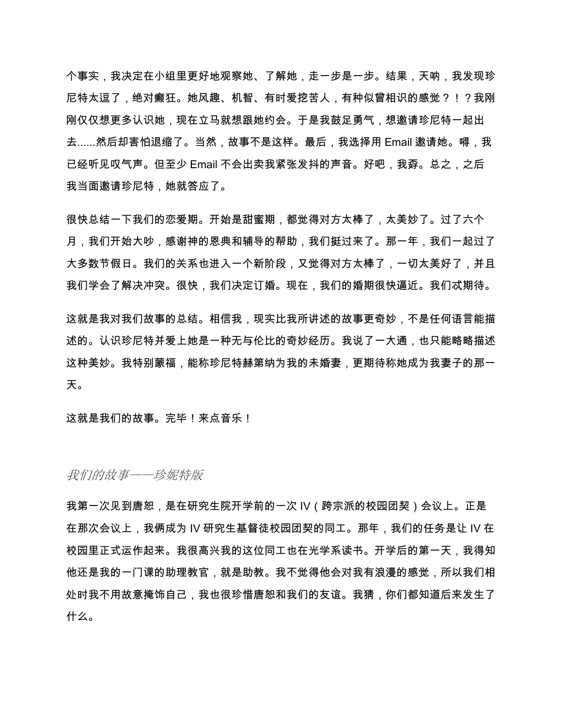个事实,我决定在小组里更好地观察她、了解她,走一步是一步。结果,天呐,我发现珍 尼特太逗了,绝对癫狂。她风趣、机智、有时爱挖苦人,有种似曾相识的感觉?!?我刚 刚仅仅想更多认识她,现在立马就想跟她约会。于是我鼓足勇气,想邀请珍尼特一起出 去......然后却害怕退缩了。当然,故事不是这样。最后,我选择用 Email 邀请她。嘚,我 已经听见叹气声。但至少 Email 不会出卖我紧张发抖的声音。好吧,我孬。总之,之后 我当面邀请珍尼特,她就答应了。

很快总结一下我们的恋爱期。开始是甜蜜期,都觉得对方太棒了,太美妙了。过了六个 月,我们开始大吵,感谢神的恩典和辅导的帮助,我们挺过来了。那一年,我们一起过了 大多数节假日。我们的关系也进入一个新阶段,又觉得对方太棒了,一切太美好了,并且 我们学会了解决冲突。很快,我们决定订婚。现在,我们的婚期很快逼近。我们忒期待。

这就是我对我们故事的总结。相信我,现实比我所讲述的故事更奇妙,不是任何语言能描 述的。认识珍尼特并爱上她是一种无与伦比的奇妙经历。我说了一大通,也只能略略描述 这种美妙。我特别蒙福,能称珍尼特赫第纳为我的未婚妻,更期待称她成为我妻子的那一 天。

这就是我们的故事。完毕!来点音乐!

我们的故事——珍妮特版

我第一次见到唐恕,是在研究生院开学前的一次 IV(跨宗派的校园团契)会议上。正是 在那次会议上,我俩成为 IV 研究生基督徒校园团契的同工。那年,我们的任务是让 IV 在 校园里正式运作起来。我很高兴我的这位同工也在光学系读书。开学后的第一天,我得知 他还是我的一门课的助理教官,就是助教。我不觉得他会对我有浪漫的感觉,所以我们相 处时我不用故意掩饰自己,我也很珍惜唐恕和我们的友谊。我猜,你们都知道后来发生了 什么。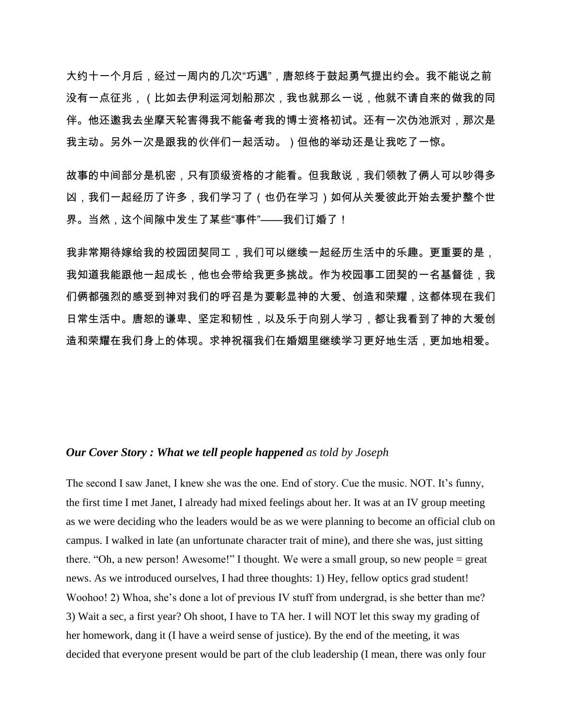大约十一个月后,经过一周内的几次"巧遇",唐恕终于鼓起勇气提出约会。我不能说之前 没有一点征兆,(比如去伊利运河划船那次,我也就那么一说,他就不请自来的做我的同 伴。他还邀我去坐摩天轮害得我不能备考我的博士资格初试。还有一次伪池派对,那次是 我主动。另外一次是跟我的伙伴们一起活动。)但他的举动还是让我吃了一惊。

故事的中间部分是机密,只有顶级资格的才能看。但我敢说,我们领教了俩人可以吵得多 凶,我们一起经历了许多,我们学习了(也仍在学习)如何从关爱彼此开始去爱护整个世 界。当然,这个间隙中发生了某些"事件"——我们订婚了!

我非常期待嫁给我的校园团契同工,我们可以继续一起经历生活中的乐趣。更重要的是, 我知道我能跟他一起成长,他也会带给我更多挑战。作为校园事工团契的一名基督徒,我 们俩都强烈的感受到神对我们的呼召是为要彰显神的大爱、创造和荣耀,这都体现在我们 日常生活中。唐恕的谦卑、坚定和韧性,以及乐于向别人学习,都让我看到了神的大爱创 造和荣耀在我们身上的体现。求神祝福我们在婚姻里继续学习更好地生活,更加地相爱。

## *Our Cover Story : What we tell people happened as told by Joseph*

The second I saw Janet, I knew she was the one. End of story. Cue the music. NOT. It's funny, the first time I met Janet, I already had mixed feelings about her. It was at an IV group meeting as we were deciding who the leaders would be as we were planning to become an official club on campus. I walked in late (an unfortunate character trait of mine), and there she was, just sitting there. "Oh, a new person! Awesome!" I thought. We were a small group, so new people = great news. As we introduced ourselves, I had three thoughts: 1) Hey, fellow optics grad student! Woohoo! 2) Whoa, she's done a lot of previous IV stuff from undergrad, is she better than me? 3) Wait a sec, a first year? Oh shoot, I have to TA her. I will NOT let this sway my grading of her homework, dang it (I have a weird sense of justice). By the end of the meeting, it was decided that everyone present would be part of the club leadership (I mean, there was only four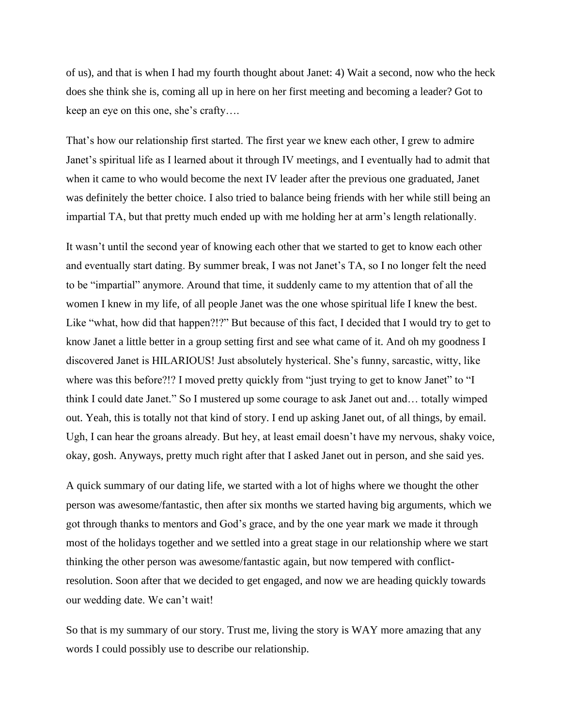of us), and that is when I had my fourth thought about Janet: 4) Wait a second, now who the heck does she think she is, coming all up in here on her first meeting and becoming a leader? Got to keep an eye on this one, she's crafty….

That's how our relationship first started. The first year we knew each other, I grew to admire Janet's spiritual life as I learned about it through IV meetings, and I eventually had to admit that when it came to who would become the next IV leader after the previous one graduated, Janet was definitely the better choice. I also tried to balance being friends with her while still being an impartial TA, but that pretty much ended up with me holding her at arm's length relationally.

It wasn't until the second year of knowing each other that we started to get to know each other and eventually start dating. By summer break, I was not Janet's TA, so I no longer felt the need to be "impartial" anymore. Around that time, it suddenly came to my attention that of all the women I knew in my life, of all people Janet was the one whose spiritual life I knew the best. Like "what, how did that happen?!?" But because of this fact, I decided that I would try to get to know Janet a little better in a group setting first and see what came of it. And oh my goodness I discovered Janet is HILARIOUS! Just absolutely hysterical. She's funny, sarcastic, witty, like where was this before?!? I moved pretty quickly from "just trying to get to know Janet" to "I think I could date Janet." So I mustered up some courage to ask Janet out and… totally wimped out. Yeah, this is totally not that kind of story. I end up asking Janet out, of all things, by email. Ugh, I can hear the groans already. But hey, at least email doesn't have my nervous, shaky voice, okay, gosh. Anyways, pretty much right after that I asked Janet out in person, and she said yes.

A quick summary of our dating life, we started with a lot of highs where we thought the other person was awesome/fantastic, then after six months we started having big arguments, which we got through thanks to mentors and God's grace, and by the one year mark we made it through most of the holidays together and we settled into a great stage in our relationship where we start thinking the other person was awesome/fantastic again, but now tempered with conflictresolution. Soon after that we decided to get engaged, and now we are heading quickly towards our wedding date. We can't wait!

So that is my summary of our story. Trust me, living the story is WAY more amazing that any words I could possibly use to describe our relationship.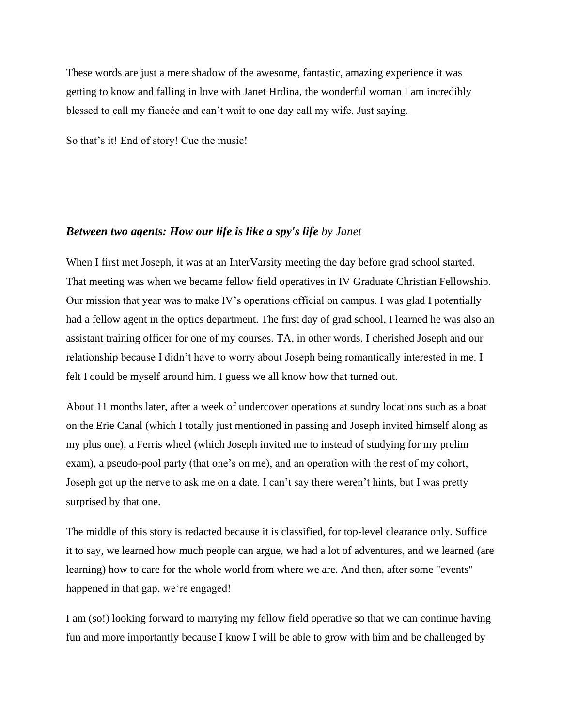These words are just a mere shadow of the awesome, fantastic, amazing experience it was getting to know and falling in love with Janet Hrdina, the wonderful woman I am incredibly blessed to call my fiancée and can't wait to one day call my wife. Just saying.

So that's it! End of story! Cue the music!

## *Between two agents: How our life is like a spy's life by Janet*

When I first met Joseph, it was at an InterVarsity meeting the day before grad school started. That meeting was when we became fellow field operatives in IV Graduate Christian Fellowship. Our mission that year was to make IV's operations official on campus. I was glad I potentially had a fellow agent in the optics department. The first day of grad school, I learned he was also an assistant training officer for one of my courses. TA, in other words. I cherished Joseph and our relationship because I didn't have to worry about Joseph being romantically interested in me. I felt I could be myself around him. I guess we all know how that turned out.

About 11 months later, after a week of undercover operations at sundry locations such as a boat on the Erie Canal (which I totally just mentioned in passing and Joseph invited himself along as my plus one), a Ferris wheel (which Joseph invited me to instead of studying for my prelim exam), a pseudo-pool party (that one's on me), and an operation with the rest of my cohort, Joseph got up the nerve to ask me on a date. I can't say there weren't hints, but I was pretty surprised by that one.

The middle of this story is redacted because it is classified, for top-level clearance only. Suffice it to say, we learned how much people can argue, we had a lot of adventures, and we learned (are learning) how to care for the whole world from where we are. And then, after some "events" happened in that gap, we're engaged!

I am (so!) looking forward to marrying my fellow field operative so that we can continue having fun and more importantly because I know I will be able to grow with him and be challenged by